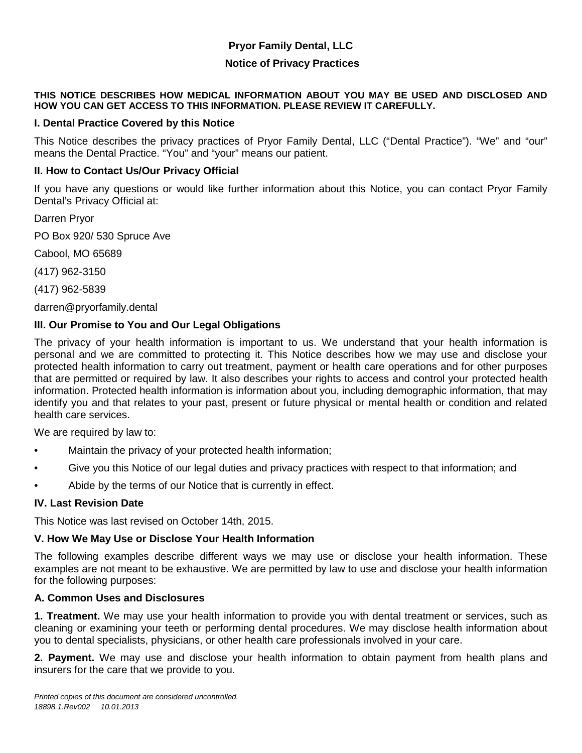# **Pryor Family Dental, LLC**

### **Notice of Privacy Practices**

#### **THIS NOTICE DESCRIBES HOW MEDICAL INFORMATION ABOUT YOU MAY BE USED AND DISCLOSED AND HOW YOU CAN GET ACCESS TO THIS INFORMATION. PLEASE REVIEW IT CAREFULLY.**

### **I. Dental Practice Covered by this Notice**

This Notice describes the privacy practices of Pryor Family Dental, LLC ("Dental Practice"). "We" and "our" means the Dental Practice. "You" and "your" means our patient.

#### **II. How to Contact Us/Our Privacy Official**

If you have any questions or would like further information about this Notice, you can contact Pryor Family Dental's Privacy Official at:

Darren Pryor

PO Box 920/ 530 Spruce Ave

Cabool, MO 65689

(417) 962-3150

(417) 962-5839

darren@pryorfamily.dental

#### **III. Our Promise to You and Our Legal Obligations**

The privacy of your health information is important to us. We understand that your health information is personal and we are committed to protecting it. This Notice describes how we may use and disclose your protected health information to carry out treatment, payment or health care operations and for other purposes that are permitted or required by law. It also describes your rights to access and control your protected health information. Protected health information is information about you, including demographic information, that may identify you and that relates to your past, present or future physical or mental health or condition and related health care services.

We are required by law to:

- Maintain the privacy of your protected health information;
- Give you this Notice of our legal duties and privacy practices with respect to that information; and
- Abide by the terms of our Notice that is currently in effect.

#### **IV. Last Revision Date**

This Notice was last revised on October 14th, 2015.

## **V. How We May Use or Disclose Your Health Information**

The following examples describe different ways we may use or disclose your health information. These examples are not meant to be exhaustive. We are permitted by law to use and disclose your health information for the following purposes:

#### **A. Common Uses and Disclosures**

**1. Treatment.** We may use your health information to provide you with dental treatment or services, such as cleaning or examining your teeth or performing dental procedures. We may disclose health information about you to dental specialists, physicians, or other health care professionals involved in your care.

**2. Payment.** We may use and disclose your health information to obtain payment from health plans and insurers for the care that we provide to you.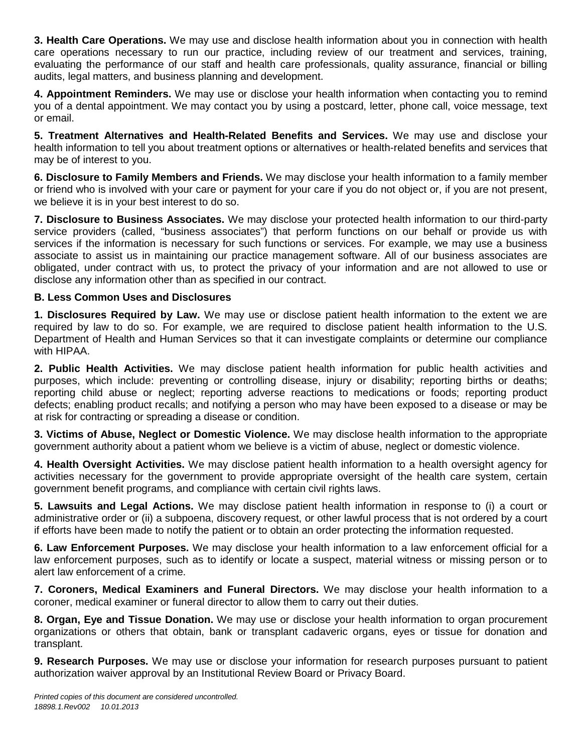**3. Health Care Operations.** We may use and disclose health information about you in connection with health care operations necessary to run our practice, including review of our treatment and services, training, evaluating the performance of our staff and health care professionals, quality assurance, financial or billing audits, legal matters, and business planning and development.

**4. Appointment Reminders.** We may use or disclose your health information when contacting you to remind you of a dental appointment. We may contact you by using a postcard, letter, phone call, voice message, text or email.

**5. Treatment Alternatives and Health-Related Benefits and Services.** We may use and disclose your health information to tell you about treatment options or alternatives or health-related benefits and services that may be of interest to you.

**6. Disclosure to Family Members and Friends.** We may disclose your health information to a family member or friend who is involved with your care or payment for your care if you do not object or, if you are not present, we believe it is in your best interest to do so.

**7. Disclosure to Business Associates.** We may disclose your protected health information to our third-party service providers (called, "business associates") that perform functions on our behalf or provide us with services if the information is necessary for such functions or services. For example, we may use a business associate to assist us in maintaining our practice management software. All of our business associates are obligated, under contract with us, to protect the privacy of your information and are not allowed to use or disclose any information other than as specified in our contract.

# **B. Less Common Uses and Disclosures**

**1. Disclosures Required by Law.** We may use or disclose patient health information to the extent we are required by law to do so. For example, we are required to disclose patient health information to the U.S. Department of Health and Human Services so that it can investigate complaints or determine our compliance with HIPAA.

**2. Public Health Activities.** We may disclose patient health information for public health activities and purposes, which include: preventing or controlling disease, injury or disability; reporting births or deaths; reporting child abuse or neglect; reporting adverse reactions to medications or foods; reporting product defects; enabling product recalls; and notifying a person who may have been exposed to a disease or may be at risk for contracting or spreading a disease or condition.

**3. Victims of Abuse, Neglect or Domestic Violence.** We may disclose health information to the appropriate government authority about a patient whom we believe is a victim of abuse, neglect or domestic violence.

**4. Health Oversight Activities.** We may disclose patient health information to a health oversight agency for activities necessary for the government to provide appropriate oversight of the health care system, certain government benefit programs, and compliance with certain civil rights laws.

**5. Lawsuits and Legal Actions.** We may disclose patient health information in response to (i) a court or administrative order or (ii) a subpoena, discovery request, or other lawful process that is not ordered by a court if efforts have been made to notify the patient or to obtain an order protecting the information requested.

**6. Law Enforcement Purposes.** We may disclose your health information to a law enforcement official for a law enforcement purposes, such as to identify or locate a suspect, material witness or missing person or to alert law enforcement of a crime.

**7. Coroners, Medical Examiners and Funeral Directors.** We may disclose your health information to a coroner, medical examiner or funeral director to allow them to carry out their duties.

**8. Organ, Eye and Tissue Donation.** We may use or disclose your health information to organ procurement organizations or others that obtain, bank or transplant cadaveric organs, eyes or tissue for donation and transplant.

**9. Research Purposes.** We may use or disclose your information for research purposes pursuant to patient authorization waiver approval by an Institutional Review Board or Privacy Board.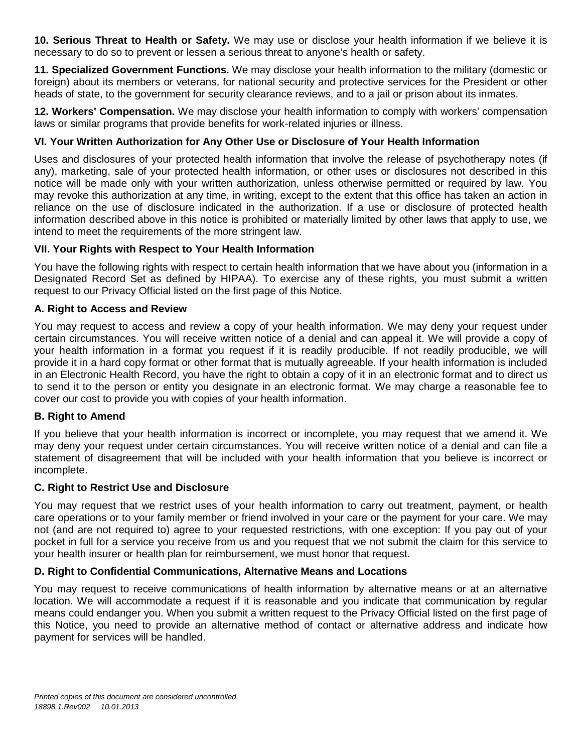**10. Serious Threat to Health or Safety.** We may use or disclose your health information if we believe it is necessary to do so to prevent or lessen a serious threat to anyone's health or safety.

**11. Specialized Government Functions.** We may disclose your health information to the military (domestic or foreign) about its members or veterans, for national security and protective services for the President or other heads of state, to the government for security clearance reviews, and to a jail or prison about its inmates.

**12. Workers' Compensation.** We may disclose your health information to comply with workers' compensation laws or similar programs that provide benefits for work-related injuries or illness.

# **VI. Your Written Authorization for Any Other Use or Disclosure of Your Health Information**

Uses and disclosures of your protected health information that involve the release of psychotherapy notes (if any), marketing, sale of your protected health information, or other uses or disclosures not described in this notice will be made only with your written authorization, unless otherwise permitted or required by law. You may revoke this authorization at any time, in writing, except to the extent that this office has taken an action in reliance on the use of disclosure indicated in the authorization. If a use or disclosure of protected health information described above in this notice is prohibited or materially limited by other laws that apply to use, we intend to meet the requirements of the more stringent law.

# **VII. Your Rights with Respect to Your Health Information**

You have the following rights with respect to certain health information that we have about you (information in a Designated Record Set as defined by HIPAA). To exercise any of these rights, you must submit a written request to our Privacy Official listed on the first page of this Notice.

# **A. Right to Access and Review**

You may request to access and review a copy of your health information. We may deny your request under certain circumstances. You will receive written notice of a denial and can appeal it. We will provide a copy of your health information in a format you request if it is readily producible. If not readily producible, we will provide it in a hard copy format or other format that is mutually agreeable. If your health information is included in an Electronic Health Record, you have the right to obtain a copy of it in an electronic format and to direct us to send it to the person or entity you designate in an electronic format. We may charge a reasonable fee to cover our cost to provide you with copies of your health information.

# **B. Right to Amend**

If you believe that your health information is incorrect or incomplete, you may request that we amend it. We may deny your request under certain circumstances. You will receive written notice of a denial and can file a statement of disagreement that will be included with your health information that you believe is incorrect or incomplete.

## **C. Right to Restrict Use and Disclosure**

You may request that we restrict uses of your health information to carry out treatment, payment, or health care operations or to your family member or friend involved in your care or the payment for your care. We may not (and are not required to) agree to your requested restrictions, with one exception: If you pay out of your pocket in full for a service you receive from us and you request that we not submit the claim for this service to your health insurer or health plan for reimbursement, we must honor that request.

# **D. Right to Confidential Communications, Alternative Means and Locations**

You may request to receive communications of health information by alternative means or at an alternative location. We will accommodate a request if it is reasonable and you indicate that communication by regular means could endanger you. When you submit a written request to the Privacy Official listed on the first page of this Notice, you need to provide an alternative method of contact or alternative address and indicate how payment for services will be handled.